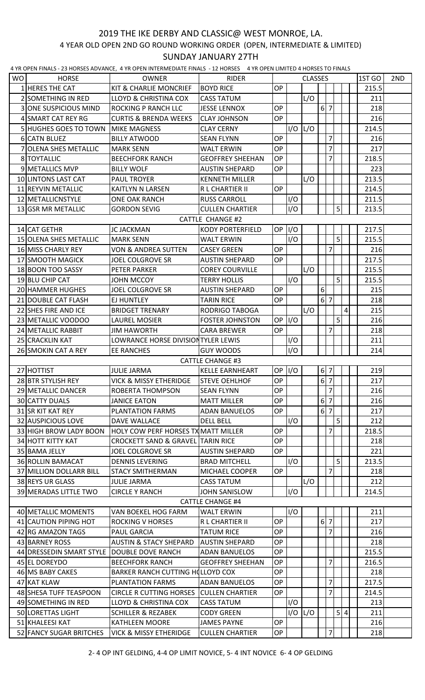## 4 YEAR OLD OPEN 2ND GO ROUND WORKING ORDER (OPEN, INTERMEDIATE & LIMITED) 2019 THE IKE DERBY AND CLASSIC@ WEST MONROE, LA. SUNDAY JANUARY 27TH

4 YR OPEN FINALS - 23 HORSES ADVANCE, 4 YR OPEN INTERMEDIATE FINALS - 12 HORSES 4 YR OPEN LIMITED 4 HORSES TO FINALS

|                         |                              | ES HORSES AS WATCH, THROPER INTERNIES IN THE THINKS |                         |            |             |                |                |                |                |   |        |     |
|-------------------------|------------------------------|-----------------------------------------------------|-------------------------|------------|-------------|----------------|----------------|----------------|----------------|---|--------|-----|
| WO.                     | <b>HORSE</b>                 | <b>OWNER</b>                                        | <b>RIDER</b>            |            |             | <b>CLASSES</b> |                |                |                |   | 1ST GO | 2ND |
|                         | 1 HERES THE CAT              | <b>KIT &amp; CHARLIE MONCRIEF</b>                   | <b>BOYD RICE</b>        | OP         |             |                |                |                |                |   | 215.5  |     |
|                         | 2 SOMETHING IN RED           | <b>LLOYD &amp; CHRISTINA COX</b>                    | <b>CASS TATUM</b>       |            |             | L/O            |                |                |                |   | 211    |     |
|                         | <b>3 ONE SUSPICIOUS MIND</b> | ROCKING P RANCH LLC                                 | <b>JESSE LENNOX</b>     | OP         |             |                | 6 7            |                |                |   | 218    |     |
|                         | 4 SMART CAT REY RG           | <b>CURTIS &amp; BRENDA WEEKS</b>                    | <b>CLAY JOHNSON</b>     | <b>OP</b>  |             |                |                |                |                |   | 216    |     |
|                         | <b>5 HUGHES GOES TO TOWN</b> | <b>MIKE MAGNESS</b>                                 | <b>CLAY CERNY</b>       |            |             | $I/O$ $L/O$    |                |                |                |   | 214.5  |     |
|                         | 6 CATN BLUEZ                 | <b>BILLY ATWOOD</b>                                 | <b>SEAN FLYNN</b>       | OP         |             |                |                | 7              |                |   | 216    |     |
|                         | 7 OLENA SHES METALLIC        | <b>MARK SENN</b>                                    | <b>WALT ERWIN</b>       | OP         |             |                |                | $\overline{7}$ |                |   | 217    |     |
|                         | 8 TOYTALLIC                  | <b>BEECHFORK RANCH</b>                              | <b>GEOFFREY SHEEHAN</b> | <b>OP</b>  |             |                |                | 7              |                |   | 218.5  |     |
|                         | 9 METALLICS MVP              | <b>BILLY WOLF</b>                                   | <b>AUSTIN SHEPARD</b>   | OP         |             |                |                |                |                |   | 223    |     |
|                         | 10 LINTONS LAST CAT          | <b>PAUL TROYER</b>                                  | <b>KENNETH MILLER</b>   |            |             | L/O            |                |                |                |   | 213.5  |     |
|                         | 11 REYVIN METALLIC           | KAITLYN N LARSEN                                    | R L CHARTIER II         | <b>OP</b>  |             |                |                |                |                |   | 214.5  |     |
|                         | 12 METALLICNSTYLE            | <b>ONE OAK RANCH</b>                                | <b>RUSS CARROLL</b>     |            | I/O         |                |                |                |                |   | 211.5  |     |
|                         | 13 GSR MR METALLIC           | <b>GORDON SEVIG</b>                                 | <b>CULLEN CHARTIER</b>  |            | I/O         |                |                |                | $\mathsf{S}$   |   | 213.5  |     |
| <b>CATTLE CHANGE #2</b> |                              |                                                     |                         |            |             |                |                |                |                |   |        |     |
|                         | 14 CAT GETHR                 | <b>JC JACKMAN</b>                                   | <b>KODY PORTERFIELD</b> | $OP$ $I/O$ |             |                |                |                |                |   | 217.5  |     |
|                         | 15 OLENA SHES METALLIC       | <b>MARK SENN</b>                                    | <b>WALT ERWIN</b>       |            | I/O         |                |                |                | 5 <sup>1</sup> |   | 215.5  |     |
|                         | 16 MISS CHARLY REY           | <b>VON &amp; ANDREA SUTTEN</b>                      | <b>CASEY GREEN</b>      | OP         |             |                |                | 7              |                |   | 216    |     |
|                         | 17 SMOOTH MAGICK             | <b>JOEL COLGROVE SR</b>                             | <b>AUSTIN SHEPARD</b>   | OP         |             |                |                |                |                |   | 217.5  |     |
|                         | 18 BOON TOO SASSY            | PETER PARKER                                        | <b>COREY COURVILLE</b>  |            |             | L/O            |                |                |                |   | 215.5  |     |
|                         | 19 BLU CHIP CAT              | <b>JOHN MCCOY</b>                                   | <b>TERRY HOLLIS</b>     |            | I/O         |                |                |                | 5 <sup>1</sup> |   | 215.5  |     |
|                         | 20 HAMMER HUGHES             | <b>JOEL COLGROVE SR</b>                             | <b>AUSTIN SHEPARD</b>   | OP         |             |                | 6 <sup>1</sup> |                |                |   | 215    |     |
|                         | 21 DOUBLE CAT FLASH          | EJ HUNTLEY                                          | <b>TARIN RICE</b>       | <b>OP</b>  |             |                | 6 7            |                |                |   | 218    |     |
|                         | 22 SHES FIRE AND ICE         | <b>BRIDGET TRENARY</b>                              | RODRIGO TABOGA          |            |             | L/O            |                |                |                | 4 | 215    |     |
|                         | 23 METALLIC VOODOO           | LAUREL MOSIER                                       | <b>FOSTER JOHNSTON</b>  |            | OP 1/0      |                |                |                | 5              |   | 216    |     |
|                         | 24 METALLIC RABBIT           | <b>JIM HAWORTH</b>                                  | <b>CARA BREWER</b>      | OP         |             |                |                | 7              |                |   | 218    |     |
|                         | 25 CRACKLIN KAT              | LOWRANCE HORSE DIVISION TYLER LEWIS                 |                         |            | I/O         |                |                |                |                |   | 211    |     |
|                         | 26 SMOKIN CAT A REY          | EE RANCHES                                          | <b>GUY WOODS</b>        |            | I/O         |                |                |                |                |   | 214    |     |
|                         |                              |                                                     | <b>CATTLE CHANGE #3</b> |            |             |                |                |                |                |   |        |     |
|                         | 27 HOTTIST                   | <b>JULIE JARMA</b>                                  | <b>KELLE EARNHEART</b>  | $OP$ $I/O$ |             |                | 6 7            |                |                |   | 219    |     |
|                         | 28 BTR STYLISH REY           | <b>VICK &amp; MISSY ETHERIDGE</b>                   | <b>STEVE OEHLHOF</b>    | OP         |             |                |                | 6 7            |                |   | 217    |     |
|                         | 29 METALLIC DANCER           | ROBERTA THOMPSON                                    | <b>SEAN FLYNN</b>       | <b>OP</b>  |             |                |                | $\overline{7}$ |                |   | 216    |     |
|                         | 30 CATTY DUALS               | <b>JANICE EATON</b>                                 | <b>MATT MILLER</b>      | ОP         |             |                |                | 6 7            |                |   | 216    |     |
|                         | 31 SR KIT KAT REY            | <b>PLANTATION FARMS</b>                             | <b>ADAN BANUELOS</b>    | OP         |             |                |                | 6 7            |                |   | 217    |     |
|                         | 32 AUSPICIOUS LOVE           | DAVE WALLACE                                        | <b>DELL BELL</b>        |            | I/O         |                |                |                | 5 <sup>1</sup> |   | 212    |     |
|                         | 33 HIGH BROW LADY BOON       | HOLY COW PERF HORSES TX MATT MILLER                 |                         | OP         |             |                |                | 7              |                |   | 218.5  |     |
|                         | 34 HOTT KITTY KAT            | <b>CROCKETT SAND &amp; GRAVEL TARIN RICE</b>        |                         | <b>OP</b>  |             |                |                |                |                |   | 218    |     |
|                         | 35 BAMA JELLY                | <b>JOEL COLGROVE SR</b>                             | <b>AUSTIN SHEPARD</b>   | <b>OP</b>  |             |                |                |                |                |   | 221    |     |
|                         | <b>36 ROLLIN BAMACAT</b>     | <b>DENNIS LEVERING</b>                              | <b>BRAD MITCHELL</b>    |            | I/O         |                |                |                | 5 <sup>1</sup> |   | 213.5  |     |
|                         | 37 MILLION DOLLARR BILL      | <b>STACY SMITHERMAN</b>                             | MICHAEL COOPER          | ОP         |             |                |                | 7              |                |   | 218    |     |
|                         | 38 REYS UR GLASS             | <b>JULIE JARMA</b>                                  | <b>CASS TATUM</b>       |            |             | L/O            |                |                |                |   | 212    |     |
|                         | 39 MERADAS LITTLE TWO        | <b>CIRCLE Y RANCH</b>                               | <b>JOHN SANISLOW</b>    |            | I/O         |                |                |                |                |   | 214.5  |     |
|                         |                              |                                                     | <b>CATTLE CHANGE #4</b> |            |             |                |                |                |                |   |        |     |
|                         | 40 METALLIC MOMENTS          | VAN BOEKEL HOG FARM                                 | <b>WALT ERWIN</b>       |            | I/O         |                |                |                |                |   | 211    |     |
|                         | 41 CAUTION PIPING HOT        | <b>ROCKING V HORSES</b>                             | R L CHARTIER II         | <b>OP</b>  |             |                | 6 7            |                |                |   | 217    |     |
|                         | 42 RG AMAZON TAGS            | PAUL GARCIA                                         | <b>TATUM RICE</b>       | OP         |             |                |                | 7              |                |   | 216    |     |
|                         | 43 BARNEY ROSS               | <b>AUSTIN &amp; STACY SHEPARD</b>                   | <b>AUSTIN SHEPARD</b>   | ОP         |             |                |                |                |                |   | 218    |     |
|                         | 44 DRESSEDIN SMART STYLE     | DOUBLE DOVE RANCH                                   | <b>ADAN BANUELOS</b>    | <b>OP</b>  |             |                |                |                |                |   | 215.5  |     |
|                         | 45 EL DOREYDO                | <b>BEECHFORK RANCH</b>                              | <b>GEOFFREY SHEEHAN</b> | OP         |             |                |                | 7              |                |   | 216.5  |     |
|                         | 46 MS BABY CAKES             | BARKER RANCH CUTTING HOLLOYD COX                    |                         | <b>OP</b>  |             |                |                |                |                |   | 218    |     |
|                         | 47 KAT KLAW                  | PLANTATION FARMS                                    | <b>ADAN BANUELOS</b>    | OP         |             |                |                | $\overline{7}$ |                |   | 217.5  |     |
|                         | 48 SHESA TUFF TEASPOON       | <b>CIRCLE R CUTTING HORSES</b>                      | <b>CULLEN CHARTIER</b>  | ОP         |             |                |                | 7              |                |   | 214.5  |     |
|                         | 49 SOMETHING IN RED          | <b>LLOYD &amp; CHRISTINA COX</b>                    | <b>CASS TATUM</b>       |            | I/O         |                |                |                |                |   | 213    |     |
|                         | 50 LORETTAS LIGHT            | <b>SCHILLER &amp; REZABEK</b>                       | <b>CODY GREEN</b>       |            | $I/O$ $L/O$ |                |                |                | 5 4            |   | 211    |     |
|                         | 51 KHALEESI KAT              | KATHLEEN MOORE                                      | <b>JAMES PAYNE</b>      | OP         |             |                |                |                |                |   | 216    |     |
|                         | 52 FANCY SUGAR BRITCHES      | <b>VICK &amp; MISSY ETHERIDGE</b>                   | <b>CULLEN CHARTIER</b>  | OP         |             |                |                |                |                |   | 218    |     |